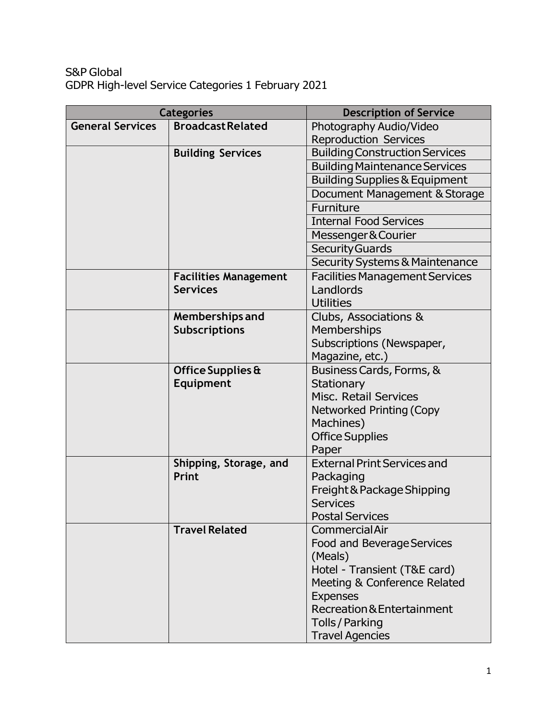## S&P Global GDPR High-level Service Categories 1 February 2021

| <b>Categories</b>       |                              | <b>Description of Service</b>             |
|-------------------------|------------------------------|-------------------------------------------|
| <b>General Services</b> | <b>Broadcast Related</b>     | Photography Audio/Video                   |
|                         |                              | <b>Reproduction Services</b>              |
|                         | <b>Building Services</b>     | <b>Building Construction Services</b>     |
|                         |                              | <b>Building Maintenance Services</b>      |
|                         |                              | <b>Building Supplies &amp; Equipment</b>  |
|                         |                              | Document Management & Storage             |
|                         |                              | Furniture                                 |
|                         |                              | <b>Internal Food Services</b>             |
|                         |                              | Messenger & Courier                       |
|                         |                              | <b>Security Guards</b>                    |
|                         |                              | <b>Security Systems &amp; Maintenance</b> |
|                         | <b>Facilities Management</b> | <b>Facilities Management Services</b>     |
|                         | <b>Services</b>              | Landlords                                 |
|                         |                              | <b>Utilities</b>                          |
|                         | Memberships and              | Clubs, Associations &                     |
|                         | <b>Subscriptions</b>         | <b>Memberships</b>                        |
|                         |                              | Subscriptions (Newspaper,                 |
|                         |                              | Magazine, etc.)                           |
|                         | Office Supplies &            | Business Cards, Forms, &                  |
|                         | Equipment                    | Stationary                                |
|                         |                              | Misc. Retail Services                     |
|                         |                              | <b>Networked Printing (Copy</b>           |
|                         |                              | Machines)                                 |
|                         |                              | <b>Office Supplies</b>                    |
|                         |                              | Paper                                     |
|                         | Shipping, Storage, and       | <b>External Print Services and</b>        |
|                         | Print                        | Packaging                                 |
|                         |                              | Freight & Package Shipping                |
|                         |                              | <b>Services</b>                           |
|                         |                              | <b>Postal Services</b>                    |
|                         | <b>Travel Related</b>        | <b>CommercialAir</b>                      |
|                         |                              | Food and Beverage Services                |
|                         |                              | (Meals)                                   |
|                         |                              | Hotel - Transient (T&E card)              |
|                         |                              | Meeting & Conference Related              |
|                         |                              | <b>Expenses</b>                           |
|                         |                              | Recreation & Entertainment                |
|                         |                              | Tolls / Parking                           |
|                         |                              | <b>Travel Agencies</b>                    |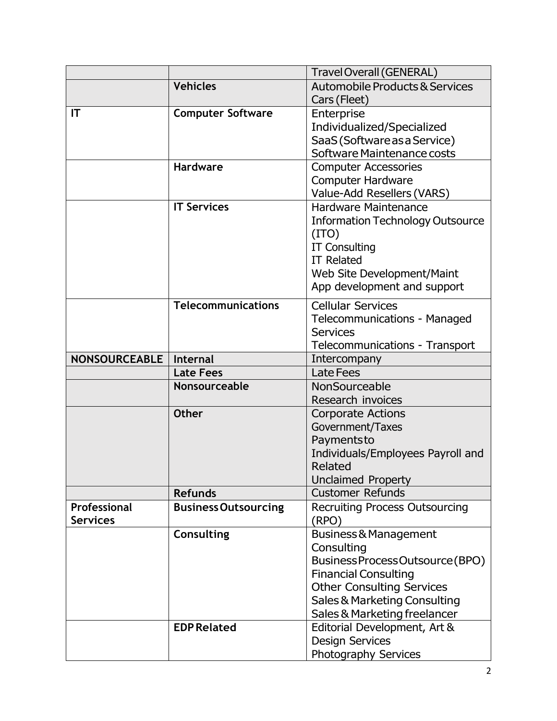|                      |                             | <b>Travel Overall (GENERAL)</b>           |
|----------------------|-----------------------------|-------------------------------------------|
|                      | <b>Vehicles</b>             | <b>Automobile Products &amp; Services</b> |
|                      |                             | Cars (Fleet)                              |
| IT                   | <b>Computer Software</b>    | Enterprise                                |
|                      |                             | Individualized/Specialized                |
|                      |                             | SaaS (Software as a Service)              |
|                      |                             | Software Maintenance costs                |
|                      | <b>Hardware</b>             | <b>Computer Accessories</b>               |
|                      |                             | <b>Computer Hardware</b>                  |
|                      |                             | Value-Add Resellers (VARS)                |
|                      | <b>IT Services</b>          | <b>Hardware Maintenance</b>               |
|                      |                             | <b>Information Technology Outsource</b>   |
|                      |                             | (TTO)                                     |
|                      |                             | <b>IT Consulting</b>                      |
|                      |                             | <b>IT Related</b>                         |
|                      |                             | Web Site Development/Maint                |
|                      |                             | App development and support               |
|                      | <b>Telecommunications</b>   | <b>Cellular Services</b>                  |
|                      |                             | Telecommunications - Managed              |
|                      |                             | <b>Services</b>                           |
|                      |                             | Telecommunications - Transport            |
| <b>NONSOURCEABLE</b> | Internal                    | Intercompany                              |
|                      | <b>Late Fees</b>            | <b>Late Fees</b>                          |
|                      | Nonsourceable               | NonSourceable                             |
|                      |                             | Research invoices                         |
|                      | <b>Other</b>                | <b>Corporate Actions</b>                  |
|                      |                             | Government/Taxes                          |
|                      |                             | Paymentsto                                |
|                      |                             | Individuals/Employees Payroll and         |
|                      |                             | Related                                   |
|                      |                             | <b>Unclaimed Property</b>                 |
|                      | <b>Refunds</b>              | <b>Customer Refunds</b>                   |
| Professional         | <b>Business Outsourcing</b> | <b>Recruiting Process Outsourcing</b>     |
| <b>Services</b>      |                             | (RPO)                                     |
|                      | Consulting                  | Business & Management                     |
|                      |                             | Consulting                                |
|                      |                             | Business Process Outsource (BPO)          |
|                      |                             | <b>Financial Consulting</b>               |
|                      |                             | <b>Other Consulting Services</b>          |
|                      |                             | Sales & Marketing Consulting              |
|                      |                             | Sales & Marketing freelancer              |
|                      | <b>EDP Related</b>          | Editorial Development, Art &              |
|                      |                             | <b>Design Services</b>                    |
|                      |                             | Photography Services                      |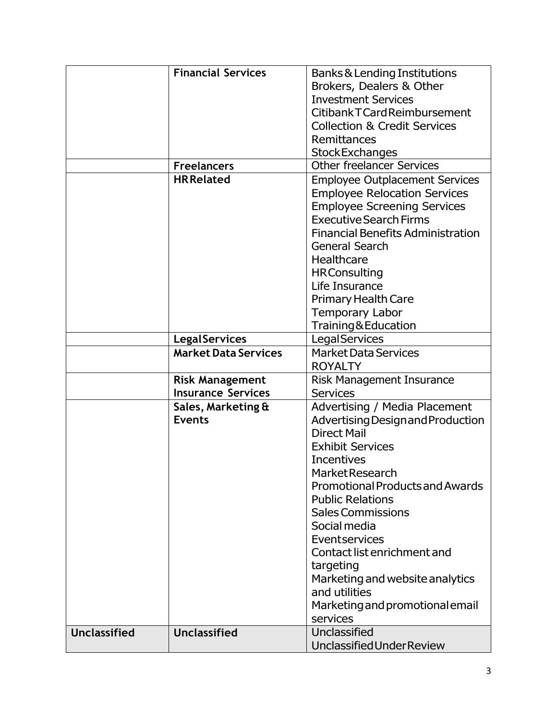|                     | <b>Financial Services</b>   | <b>Banks &amp; Lending Institutions</b>                 |
|---------------------|-----------------------------|---------------------------------------------------------|
|                     |                             | Brokers, Dealers & Other                                |
|                     |                             | <b>Investment Services</b>                              |
|                     |                             | Citibank T Card Reimbursement                           |
|                     |                             | <b>Collection &amp; Credit Services</b>                 |
|                     |                             | Remittances                                             |
|                     |                             | <b>StockExchanges</b>                                   |
|                     | <b>Freelancers</b>          | <b>Other freelancer Services</b>                        |
|                     | <b>HR Related</b>           | <b>Employee Outplacement Services</b>                   |
|                     |                             | <b>Employee Relocation Services</b>                     |
|                     |                             | <b>Employee Screening Services</b>                      |
|                     |                             | <b>Executive Search Firms</b>                           |
|                     |                             | <b>Financial Benefits Administration</b>                |
|                     |                             | <b>General Search</b>                                   |
|                     |                             | Healthcare                                              |
|                     |                             |                                                         |
|                     |                             | <b>HRConsulting</b><br>Life Insurance                   |
|                     |                             |                                                         |
|                     |                             | <b>Primary Health Care</b>                              |
|                     |                             | <b>Temporary Labor</b>                                  |
|                     |                             | Training&Education                                      |
|                     | <b>Legal Services</b>       | <b>LegalServices</b>                                    |
|                     | <b>Market Data Services</b> | <b>Market Data Services</b>                             |
|                     |                             | <b>ROYALTY</b>                                          |
|                     | <b>Risk Management</b>      | Risk Management Insurance                               |
|                     | <b>Insurance Services</b>   | <b>Services</b>                                         |
|                     | Sales, Marketing &          | Advertising / Media Placement                           |
|                     | <b>Events</b>               | Advertising Design and Production<br><b>Direct Mail</b> |
|                     |                             | <b>Exhibit Services</b>                                 |
|                     |                             | <b>Incentives</b>                                       |
|                     |                             | <b>MarketResearch</b>                                   |
|                     |                             | <b>Promotional Products and Awards</b>                  |
|                     |                             | <b>Public Relations</b>                                 |
|                     |                             | <b>Sales Commissions</b>                                |
|                     |                             | Social media                                            |
|                     |                             | Eventservices                                           |
|                     |                             | Contact list enrichment and                             |
|                     |                             | targeting                                               |
|                     |                             | Marketing and website analytics                         |
|                     |                             | and utilities                                           |
|                     |                             | Marketing and promotional email                         |
|                     |                             | services                                                |
| <b>Unclassified</b> | <b>Unclassified</b>         | Unclassified                                            |
|                     |                             | Unclassified Under Review                               |